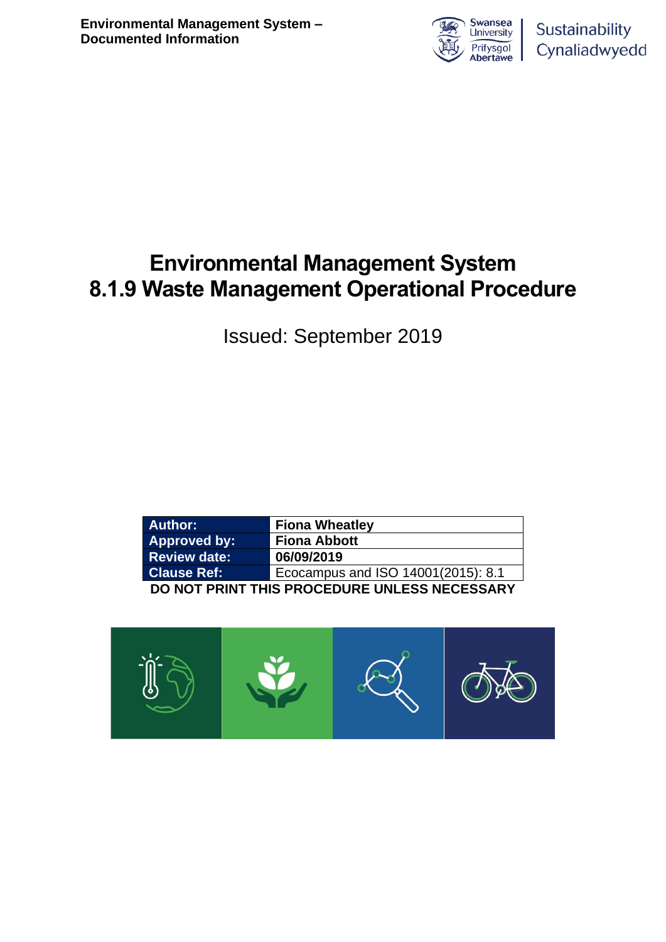

# **Environmental Management System 8.1.9 Waste Management Operational Procedure**

Issued: September 2019

| <b>Author:</b>                               | <b>Fiona Wheatley</b>              |  |  |  |
|----------------------------------------------|------------------------------------|--|--|--|
| Approved by:                                 | <b>Fiona Abbott</b>                |  |  |  |
| <b>Review date:</b>                          | 06/09/2019                         |  |  |  |
| <b>Clause Ref:</b>                           | Ecocampus and ISO 14001(2015): 8.1 |  |  |  |
| DO NOT PRINT THIS PROCEDURE UNLESS NECESSARY |                                    |  |  |  |

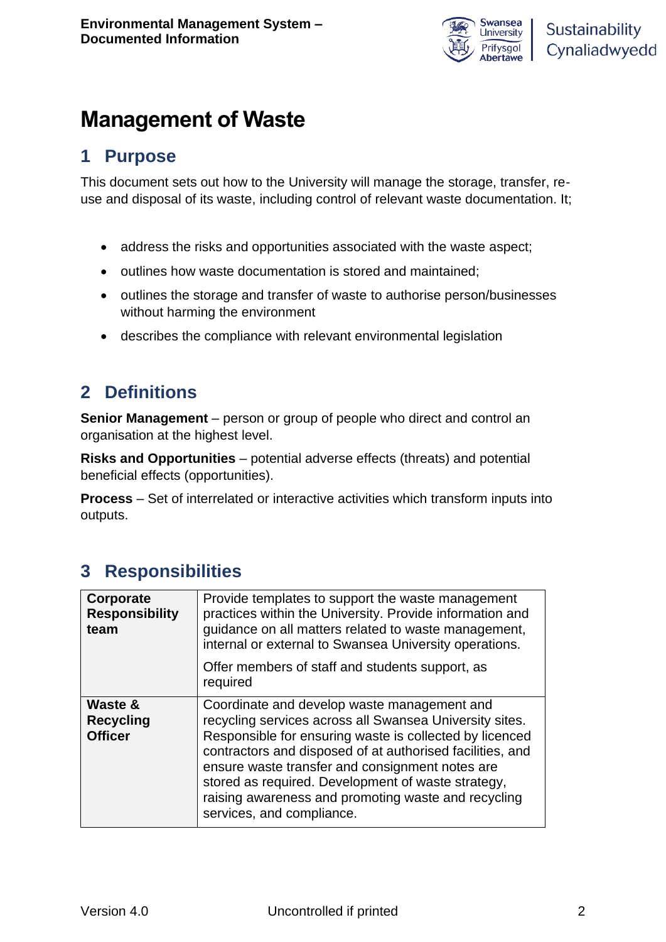

# **Management of Waste**

## **1 Purpose**

This document sets out how to the University will manage the storage, transfer, reuse and disposal of its waste, including control of relevant waste documentation. It;

- address the risks and opportunities associated with the waste aspect;
- outlines how waste documentation is stored and maintained;
- outlines the storage and transfer of waste to authorise person/businesses without harming the environment
- describes the compliance with relevant environmental legislation

## **2 Definitions**

**Senior Management** – person or group of people who direct and control an organisation at the highest level.

**Risks and Opportunities** – potential adverse effects (threats) and potential beneficial effects (opportunities).

**Process** – Set of interrelated or interactive activities which transform inputs into outputs.

## **3 Responsibilities**

| Corporate<br><b>Responsibility</b><br>team    | Provide templates to support the waste management<br>practices within the University. Provide information and<br>guidance on all matters related to waste management,<br>internal or external to Swansea University operations.<br>Offer members of staff and students support, as<br>required                                                                                                                              |
|-----------------------------------------------|-----------------------------------------------------------------------------------------------------------------------------------------------------------------------------------------------------------------------------------------------------------------------------------------------------------------------------------------------------------------------------------------------------------------------------|
| Waste &<br><b>Recycling</b><br><b>Officer</b> | Coordinate and develop waste management and<br>recycling services across all Swansea University sites.<br>Responsible for ensuring waste is collected by licenced<br>contractors and disposed of at authorised facilities, and<br>ensure waste transfer and consignment notes are<br>stored as required. Development of waste strategy,<br>raising awareness and promoting waste and recycling<br>services, and compliance. |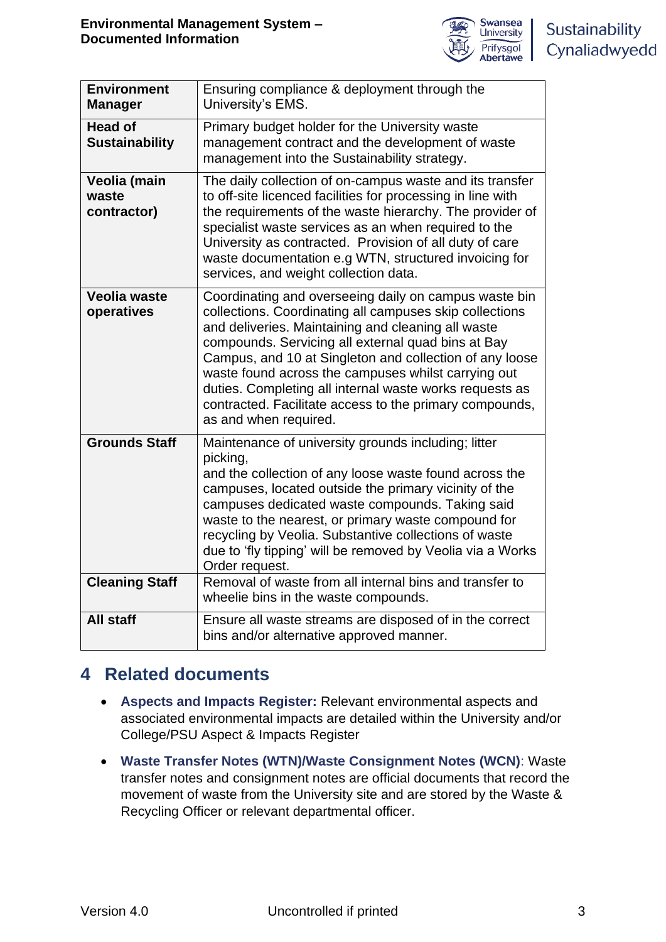

| <b>Environment</b><br><b>Manager</b>    | Ensuring compliance & deployment through the<br>University's EMS.                                                                                                                                                                                                                                                                                                                                                                                                                             |
|-----------------------------------------|-----------------------------------------------------------------------------------------------------------------------------------------------------------------------------------------------------------------------------------------------------------------------------------------------------------------------------------------------------------------------------------------------------------------------------------------------------------------------------------------------|
| <b>Head of</b><br><b>Sustainability</b> | Primary budget holder for the University waste<br>management contract and the development of waste<br>management into the Sustainability strategy.                                                                                                                                                                                                                                                                                                                                            |
| Veolia (main<br>waste<br>contractor)    | The daily collection of on-campus waste and its transfer<br>to off-site licenced facilities for processing in line with<br>the requirements of the waste hierarchy. The provider of<br>specialist waste services as an when required to the<br>University as contracted. Provision of all duty of care<br>waste documentation e.g WTN, structured invoicing for<br>services, and weight collection data.                                                                                      |
| <b>Veolia waste</b><br>operatives       | Coordinating and overseeing daily on campus waste bin<br>collections. Coordinating all campuses skip collections<br>and deliveries. Maintaining and cleaning all waste<br>compounds. Servicing all external quad bins at Bay<br>Campus, and 10 at Singleton and collection of any loose<br>waste found across the campuses whilst carrying out<br>duties. Completing all internal waste works requests as<br>contracted. Facilitate access to the primary compounds,<br>as and when required. |
| <b>Grounds Staff</b>                    | Maintenance of university grounds including; litter<br>picking,<br>and the collection of any loose waste found across the<br>campuses, located outside the primary vicinity of the<br>campuses dedicated waste compounds. Taking said<br>waste to the nearest, or primary waste compound for<br>recycling by Veolia. Substantive collections of waste<br>due to 'fly tipping' will be removed by Veolia via a Works<br>Order request.                                                         |
| <b>Cleaning Staff</b>                   | Removal of waste from all internal bins and transfer to<br>wheelie bins in the waste compounds.                                                                                                                                                                                                                                                                                                                                                                                               |
| <b>All staff</b>                        | Ensure all waste streams are disposed of in the correct<br>bins and/or alternative approved manner.                                                                                                                                                                                                                                                                                                                                                                                           |

## **4 Related documents**

- **Aspects and Impacts Register:** Relevant environmental aspects and associated environmental impacts are detailed within the University and/or College/PSU Aspect & Impacts Register
- **Waste Transfer Notes (WTN)/Waste Consignment Notes (WCN)**: Waste transfer notes and consignment notes are official documents that record the movement of waste from the University site and are stored by the Waste & Recycling Officer or relevant departmental officer.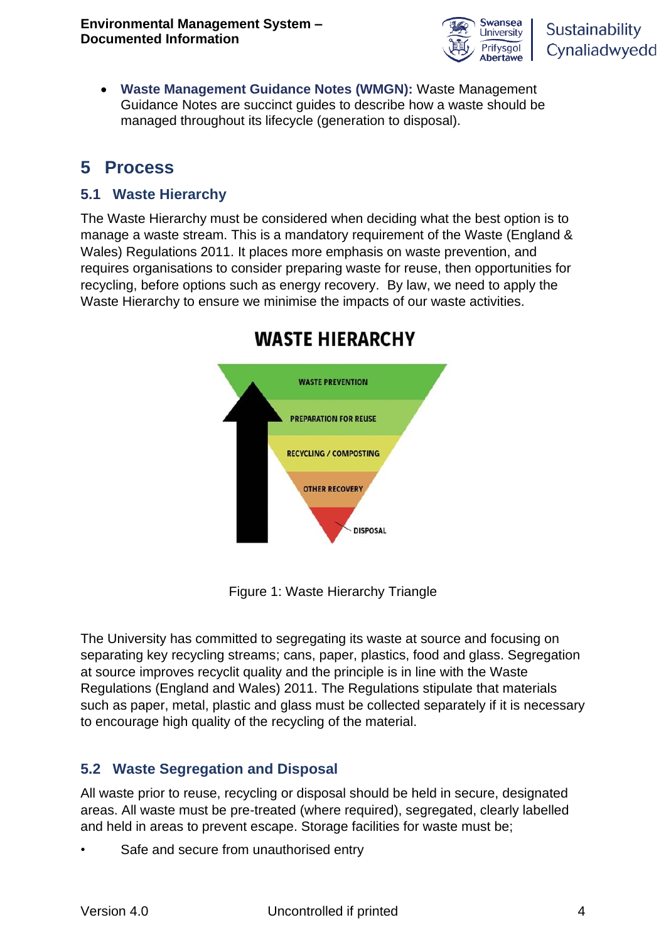

• **Waste Management Guidance Notes (WMGN):** Waste Management Guidance Notes are succinct guides to describe how a waste should be managed throughout its lifecycle (generation to disposal).

## **5 Process**

### **5.1 Waste Hierarchy**

The Waste Hierarchy must be considered when deciding what the best option is to manage a waste stream. This is a mandatory requirement of the Waste (England & Wales) Regulations 2011. It places more emphasis on waste prevention, and requires organisations to consider preparing waste for reuse, then opportunities for recycling, before options such as energy recovery. By law, we need to apply the Waste Hierarchy to ensure we minimise the impacts of our waste activities.



## **WASTE HIERARCHY**

Figure 1: Waste Hierarchy Triangle

The University has committed to segregating its waste at source and focusing on separating key recycling streams; cans, paper, plastics, food and glass. Segregation at source improves recyclit quality and the principle is in line with the Waste Regulations (England and Wales) 2011. The Regulations stipulate that materials such as paper, metal, plastic and glass must be collected separately if it is necessary to encourage high quality of the recycling of the material.

## **5.2 Waste Segregation and Disposal**

All waste prior to reuse, recycling or disposal should be held in secure, designated areas. All waste must be pre-treated (where required), segregated, clearly labelled and held in areas to prevent escape. Storage facilities for waste must be;

Safe and secure from unauthorised entry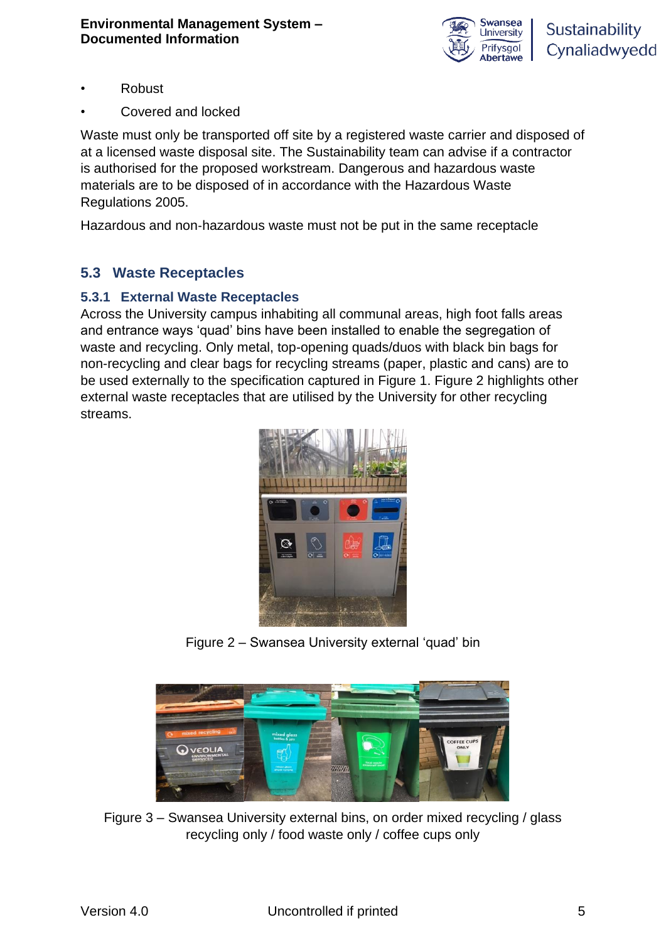

- Robust
- Covered and locked

Waste must only be transported off site by a registered waste carrier and disposed of at a licensed waste disposal site. The Sustainability team can advise if a contractor is authorised for the proposed workstream. Dangerous and hazardous waste materials are to be disposed of in accordance with the Hazardous Waste Regulations 2005.

Hazardous and non‐hazardous waste must not be put in the same receptacle

### **5.3 Waste Receptacles**

#### **5.3.1 External Waste Receptacles**

Across the University campus inhabiting all communal areas, high foot falls areas and entrance ways 'quad' bins have been installed to enable the segregation of waste and recycling. Only metal, top-opening quads/duos with black bin bags for non-recycling and clear bags for recycling streams (paper, plastic and cans) are to be used externally to the specification captured in Figure 1. Figure 2 highlights other external waste receptacles that are utilised by the University for other recycling streams.



Figure 2 – Swansea University external 'quad' bin



Figure 3 – Swansea University external bins, on order mixed recycling / glass recycling only / food waste only / coffee cups only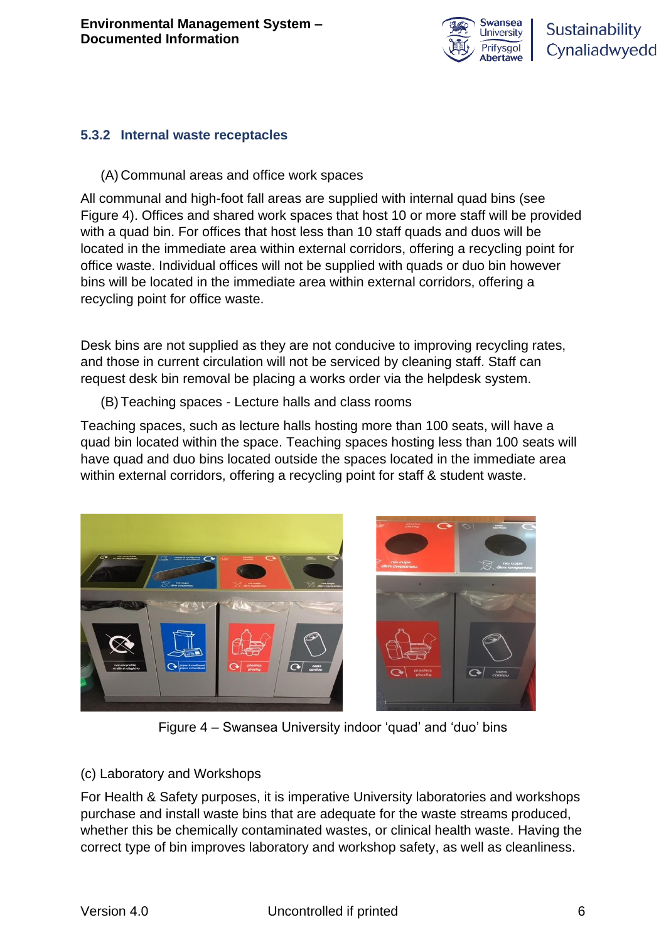

#### **5.3.2 Internal waste receptacles**

(A) Communal areas and office work spaces

All communal and high-foot fall areas are supplied with internal quad bins (see Figure 4). Offices and shared work spaces that host 10 or more staff will be provided with a quad bin. For offices that host less than 10 staff quads and duos will be located in the immediate area within external corridors, offering a recycling point for office waste. Individual offices will not be supplied with quads or duo bin however bins will be located in the immediate area within external corridors, offering a recycling point for office waste.

Desk bins are not supplied as they are not conducive to improving recycling rates, and those in current circulation will not be serviced by cleaning staff. Staff can request desk bin removal be placing a works order via the helpdesk system.

(B) Teaching spaces - Lecture halls and class rooms

Teaching spaces, such as lecture halls hosting more than 100 seats, will have a quad bin located within the space. Teaching spaces hosting less than 100 seats will have quad and duo bins located outside the spaces located in the immediate area within external corridors, offering a recycling point for staff & student waste.



Figure 4 – Swansea University indoor 'quad' and 'duo' bins

#### (c) Laboratory and Workshops

For Health & Safety purposes, it is imperative University laboratories and workshops purchase and install waste bins that are adequate for the waste streams produced, whether this be chemically contaminated wastes, or clinical health waste. Having the correct type of bin improves laboratory and workshop safety, as well as cleanliness.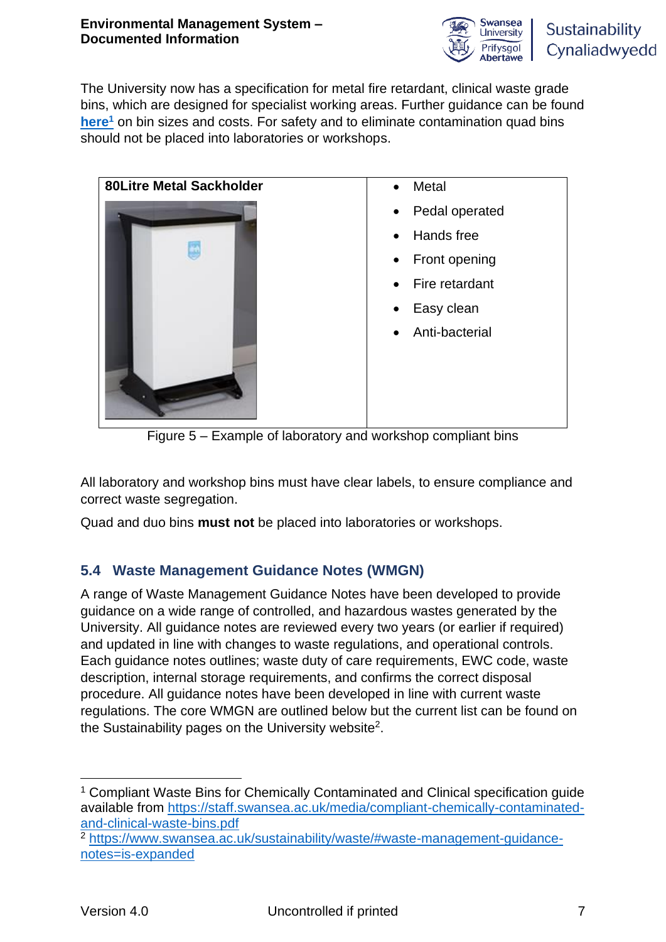

The University now has a specification for metal fire retardant, clinical waste grade bins, which are designed for specialist working areas. Further guidance can be found **[here](https://staff.swansea.ac.uk/media/compliant-chemically-contaminated-and-clinical-waste-bins.pdf)<sup>1</sup>** on bin sizes and costs. For safety and to eliminate contamination quad bins should not be placed into laboratories or workshops.

| <b>80Litre Metal Sackholder</b> | Metal<br>$\bullet$          |
|---------------------------------|-----------------------------|
|                                 | Pedal operated<br>$\bullet$ |
|                                 | Hands free<br>$\bullet$     |
|                                 | Front opening<br>$\bullet$  |
|                                 | Fire retardant<br>$\bullet$ |
|                                 | Easy clean<br>$\bullet$     |
|                                 | Anti-bacterial<br>$\bullet$ |
|                                 |                             |

Figure 5 – Example of laboratory and workshop compliant bins

All laboratory and workshop bins must have clear labels, to ensure compliance and correct waste segregation.

Quad and duo bins **must not** be placed into laboratories or workshops.

## **5.4 Waste Management Guidance Notes (WMGN)**

A range of Waste Management Guidance Notes have been developed to provide guidance on a wide range of controlled, and hazardous wastes generated by the University. All guidance notes are reviewed every two years (or earlier if required) and updated in line with changes to waste regulations, and operational controls. Each guidance notes outlines; waste duty of care requirements, EWC code, waste description, internal storage requirements, and confirms the correct disposal procedure. All guidance notes have been developed in line with current waste regulations. The core WMGN are outlined below but the current list can be found on the Sustainability pages on the University website<sup>2</sup>.

<sup>1</sup> Compliant Waste Bins for Chemically Contaminated and Clinical specification guide available from [https://staff.swansea.ac.uk/media/compliant-chemically-contaminated](https://staff.swansea.ac.uk/media/compliant-chemically-contaminated-and-clinical-waste-bins.pdf)[and-clinical-waste-bins.pdf](https://staff.swansea.ac.uk/media/compliant-chemically-contaminated-and-clinical-waste-bins.pdf)

<sup>2</sup> [https://www.swansea.ac.uk/sustainability/waste/#waste-management-guidance](https://www.swansea.ac.uk/sustainability/waste/#waste-management-guidance-notes=is-expanded)[notes=is-expanded](https://www.swansea.ac.uk/sustainability/waste/#waste-management-guidance-notes=is-expanded)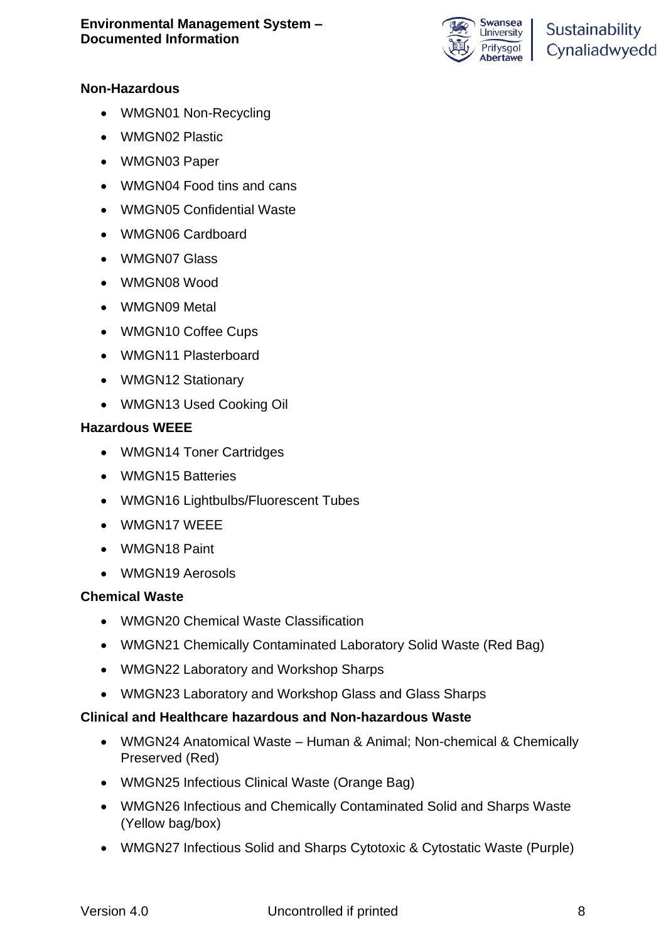

#### **Non-Hazardous**

- WMGN01 Non-Recycling
- WMGN02 Plastic
- WMGN03 Paper
- WMGN04 Food tins and cans
- WMGN05 Confidential Waste
- WMGN06 Cardboard
- WMGN07 Glass
- WMGN08 Wood
- WMGN09 Metal
- WMGN10 Coffee Cups
- WMGN11 Plasterboard
- WMGN12 Stationary
- WMGN13 Used Cooking Oil

#### **Hazardous WEEE**

- WMGN14 Toner Cartridges
- WMGN15 Batteries
- WMGN16 Lightbulbs/Fluorescent Tubes
- WMGN17 WEEE
- WMGN18 Paint
- WMGN19 Aerosols

#### **Chemical Waste**

- WMGN20 Chemical Waste Classification
- WMGN21 Chemically Contaminated Laboratory Solid Waste (Red Bag)
- WMGN22 Laboratory and Workshop Sharps
- WMGN23 Laboratory and Workshop Glass and Glass Sharps

#### **Clinical and Healthcare hazardous and Non-hazardous Waste**

- WMGN24 Anatomical Waste Human & Animal; Non-chemical & Chemically Preserved (Red)
- WMGN25 Infectious Clinical Waste (Orange Bag)
- WMGN26 Infectious and Chemically Contaminated Solid and Sharps Waste (Yellow bag/box)
- WMGN27 Infectious Solid and Sharps Cytotoxic & Cytostatic Waste (Purple)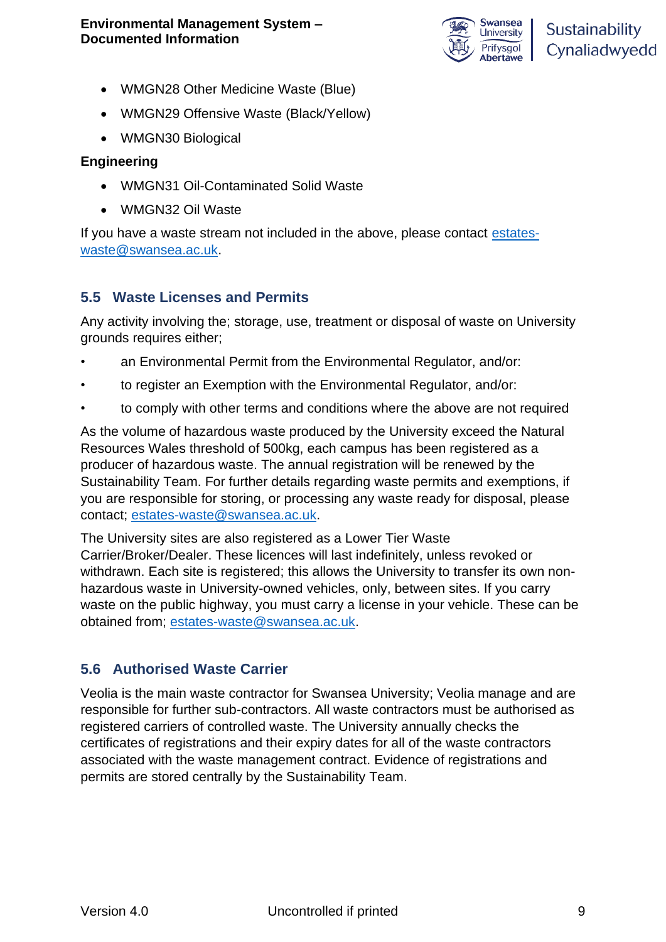

- WMGN28 Other Medicine Waste (Blue)
- WMGN29 Offensive Waste (Black/Yellow)
- WMGN30 Biological

#### **Engineering**

- WMGN31 Oil-Contaminated Solid Waste
- WMGN32 Oil Waste

If you have a waste stream not included in the above, please contact [estates](mailto:estates-waste@swansea.ac.uk)[waste@swansea.ac.uk.](mailto:estates-waste@swansea.ac.uk)

#### **5.5 Waste Licenses and Permits**

Any activity involving the; storage, use, treatment or disposal of waste on University grounds requires either;

- an Environmental Permit from the Environmental Regulator, and/or:
- to register an Exemption with the Environmental Regulator, and/or:
- to comply with other terms and conditions where the above are not required

As the volume of hazardous waste produced by the University exceed the Natural Resources Wales threshold of 500kg, each campus has been registered as a producer of hazardous waste. The annual registration will be renewed by the Sustainability Team. For further details regarding waste permits and exemptions, if you are responsible for storing, or processing any waste ready for disposal, please contact; [estates-waste@swansea.ac.uk.](mailto:estates-waste@swansea.ac.uk)

The University sites are also registered as a Lower Tier Waste Carrier/Broker/Dealer. These licences will last indefinitely, unless revoked or withdrawn. Each site is registered; this allows the University to transfer its own nonhazardous waste in University-owned vehicles, only, between sites. If you carry waste on the public highway, you must carry a license in your vehicle. These can be obtained from; [estates-waste@swansea.ac.uk.](mailto:estates-waste@swansea.ac.uk)

### **5.6 Authorised Waste Carrier**

Veolia is the main waste contractor for Swansea University; Veolia manage and are responsible for further sub-contractors. All waste contractors must be authorised as registered carriers of controlled waste. The University annually checks the certificates of registrations and their expiry dates for all of the waste contractors associated with the waste management contract. Evidence of registrations and permits are stored centrally by the Sustainability Team.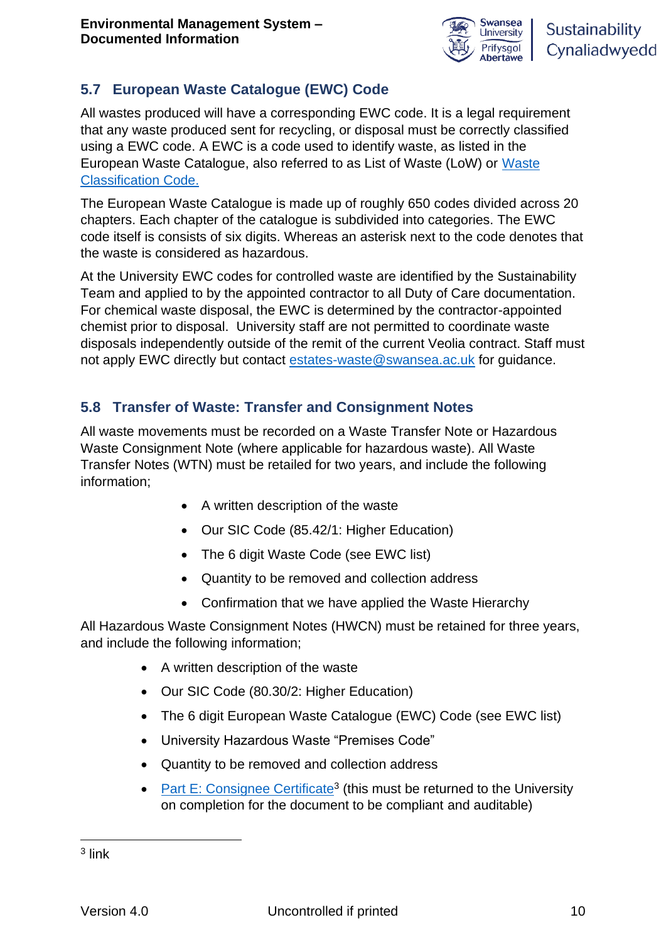

## **5.7 European Waste Catalogue (EWC) Code**

All wastes produced will have a corresponding EWC code. It is a legal requirement that any waste produced sent for recycling, or disposal must be correctly classified using a EWC code. A EWC is a code used to identify waste, as listed in the European Waste Catalogue, also referred to as List of Waste (LoW) or [Waste](https://assets.publishing.service.gov.uk/government/uploads/system/uploads/attachment_data/file/719394/Waste-classification-technical-guidance-WM3.pdf)  [Classification Code.](https://assets.publishing.service.gov.uk/government/uploads/system/uploads/attachment_data/file/719394/Waste-classification-technical-guidance-WM3.pdf)

The European Waste Catalogue is made up of roughly 650 codes divided across 20 chapters. Each chapter of the catalogue is subdivided into categories. The EWC code itself is consists of six digits. Whereas an asterisk next to the code denotes that the waste is considered as hazardous.

At the University EWC codes for controlled waste are identified by the Sustainability Team and applied to by the appointed contractor to all Duty of Care documentation. For chemical waste disposal, the EWC is determined by the contractor-appointed chemist prior to disposal. University staff are not permitted to coordinate waste disposals independently outside of the remit of the current Veolia contract. Staff must not apply EWC directly but contact [estates-waste@swansea.ac.uk](mailto:estates-waste@swansea.ac.uk) for guidance.

### **5.8 Transfer of Waste: Transfer and Consignment Notes**

All waste movements must be recorded on a Waste Transfer Note or Hazardous Waste Consignment Note (where applicable for hazardous waste). All Waste Transfer Notes (WTN) must be retailed for two years, and include the following information;

- A written description of the waste
- Our SIC Code (85.42/1: Higher Education)
- The 6 digit Waste Code (see EWC list)
- Quantity to be removed and collection address
- Confirmation that we have applied the Waste Hierarchy

All Hazardous Waste Consignment Notes (HWCN) must be retained for three years, and include the following information;

- A written description of the waste
- Our SIC Code (80.30/2: Higher Education)
- The 6 digit European Waste Catalogue (EWC) Code (see EWC list)
- University Hazardous Waste "Premises Code"
- Quantity to be removed and collection address
- [Part E: Consignee Certificate](https://www.gov.uk/guidance/hazardous-waste-consignment-note-supplementary-guidance)<sup>3</sup> (this must be returned to the University on completion for the document to be compliant and auditable)

 $3$  link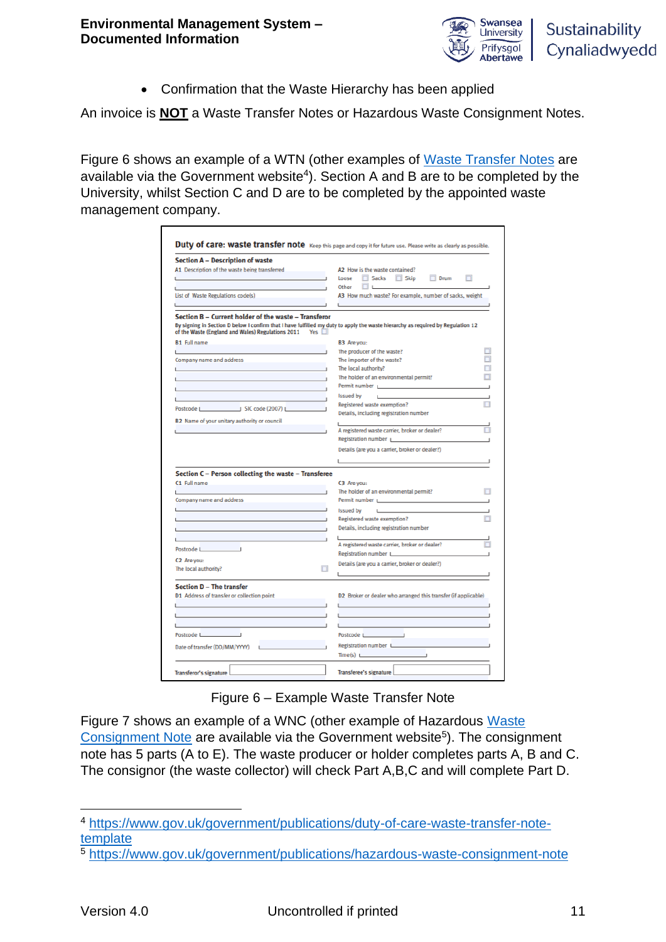

• Confirmation that the Waste Hierarchy has been applied

An invoice is **NOT** a Waste Transfer Notes or Hazardous Waste Consignment Notes.

Figure 6 shows an example of a WTN (other examples of [Waste Transfer Notes](https://www.gov.uk/government/publications/duty-of-care-waste-transfer-note-template) are available via the Government website<sup>4</sup>). Section A and B are to be completed by the University, whilst Section C and D are to be completed by the appointed waste management company.

| A1 Description of the waste being transferred                              |                                                                                                                                                                                                                                |
|----------------------------------------------------------------------------|--------------------------------------------------------------------------------------------------------------------------------------------------------------------------------------------------------------------------------|
|                                                                            | A2 How is the waste contained?                                                                                                                                                                                                 |
|                                                                            | Sacks Skip<br>n<br>Loose<br>$\Box$ Drum                                                                                                                                                                                        |
|                                                                            | $\Box$<br>Other                                                                                                                                                                                                                |
| List of Waste Regulations code(s)                                          | A3 How much waste? For example, number of sacks, weight                                                                                                                                                                        |
|                                                                            |                                                                                                                                                                                                                                |
| Section B – Current holder of the waste – Transferor                       |                                                                                                                                                                                                                                |
| of the Waste (England and Wales) Regulations 2011 Yes                      | By signing in Section D below I confirm that I have fulfilled my duty to apply the waste hierarchy as required by Regulation 12                                                                                                |
| <b>B1</b> Full name                                                        | B3 Are you:                                                                                                                                                                                                                    |
|                                                                            | The producer of the waste?                                                                                                                                                                                                     |
| Company name and address                                                   | The importer of the waste?                                                                                                                                                                                                     |
|                                                                            | The local authority?                                                                                                                                                                                                           |
|                                                                            | The holder of an environmental permit?                                                                                                                                                                                         |
| the control of the control of the control of the control of the control of | Permit number production of the contract of the contract of the contract of the contract of the contract of the                                                                                                                |
|                                                                            | Issued by<br><b>Lating</b>                                                                                                                                                                                                     |
|                                                                            | Registered waste exemption?                                                                                                                                                                                                    |
| Postcode   SIC code (2007)   SIC VIDEO                                     | Details, including registration number                                                                                                                                                                                         |
| B2 Name of your unitary authority or council                               |                                                                                                                                                                                                                                |
|                                                                            | A registered waste carrier, broker or dealer?                                                                                                                                                                                  |
|                                                                            | Registration number Learning                                                                                                                                                                                                   |
|                                                                            | Details (are you a carrier, broker or dealer?)                                                                                                                                                                                 |
|                                                                            |                                                                                                                                                                                                                                |
|                                                                            |                                                                                                                                                                                                                                |
| Section C - Person collecting the waste - Transferee                       |                                                                                                                                                                                                                                |
| C1 Full name                                                               | C3 Are you:                                                                                                                                                                                                                    |
|                                                                            | The holder of an environmental permit?                                                                                                                                                                                         |
| Company name and address                                                   | Permit number Learner and Contract and Contract of the Contract of the Contract of the Contract of the Contract of the Contract of the Contract of the Contract of the Contract of the Contract of the Contract of the Contrac |
|                                                                            | <b>Issued by</b><br><b>Links</b>                                                                                                                                                                                               |
| the control of the control of the control of the control of the control of | Registered waste exemption?                                                                                                                                                                                                    |
|                                                                            | Details, including registration number                                                                                                                                                                                         |
|                                                                            |                                                                                                                                                                                                                                |
|                                                                            | A registered waste carrier, broker or dealer?                                                                                                                                                                                  |
| Postcode Learning                                                          | Registration number Learner and Contact the Contact of the Contact of the Contact of the Contact of the Contact of the Contact of the Contact of the Contact of the Contact of the Contact of the Contact of the Contact of th |
| C <sub>2</sub> Are you:                                                    | Details (are you a carrier, broker or dealer?)                                                                                                                                                                                 |
| The local authority?                                                       |                                                                                                                                                                                                                                |
|                                                                            |                                                                                                                                                                                                                                |
| <b>Section D - The transfer</b>                                            |                                                                                                                                                                                                                                |
| D1 Address of transfer or collection point                                 | D2 Broker or dealer who arranged this transfer (if applicable)                                                                                                                                                                 |
|                                                                            |                                                                                                                                                                                                                                |
|                                                                            |                                                                                                                                                                                                                                |
|                                                                            |                                                                                                                                                                                                                                |
|                                                                            |                                                                                                                                                                                                                                |
|                                                                            |                                                                                                                                                                                                                                |
|                                                                            |                                                                                                                                                                                                                                |
|                                                                            |                                                                                                                                                                                                                                |
| Date of transfer (DD/MM/YYYY)                                              | Time(s)                                                                                                                                                                                                                        |
| Postcode Lewis Contract League                                             | Postcode Learning<br>Registration number Letter                                                                                                                                                                                |

Figure 6 – Example Waste Transfer Note

Figure 7 shows an example of a WNC (other example of Hazardous [Waste](https://www.gov.uk/government/publications/hazardous-waste-consignment-note)  [Consignment Note](https://www.gov.uk/government/publications/hazardous-waste-consignment-note) are available via the Government website<sup>5</sup>). The consignment note has 5 parts (A to E). The waste producer or holder completes parts A, B and C. The consignor (the waste collector) will check Part A,B,C and will complete Part D.

<sup>4</sup> [https://www.gov.uk/government/publications/duty-of-care-waste-transfer-note](https://www.gov.uk/government/publications/duty-of-care-waste-transfer-note-template)[template](https://www.gov.uk/government/publications/duty-of-care-waste-transfer-note-template)

<sup>5</sup> <https://www.gov.uk/government/publications/hazardous-waste-consignment-note>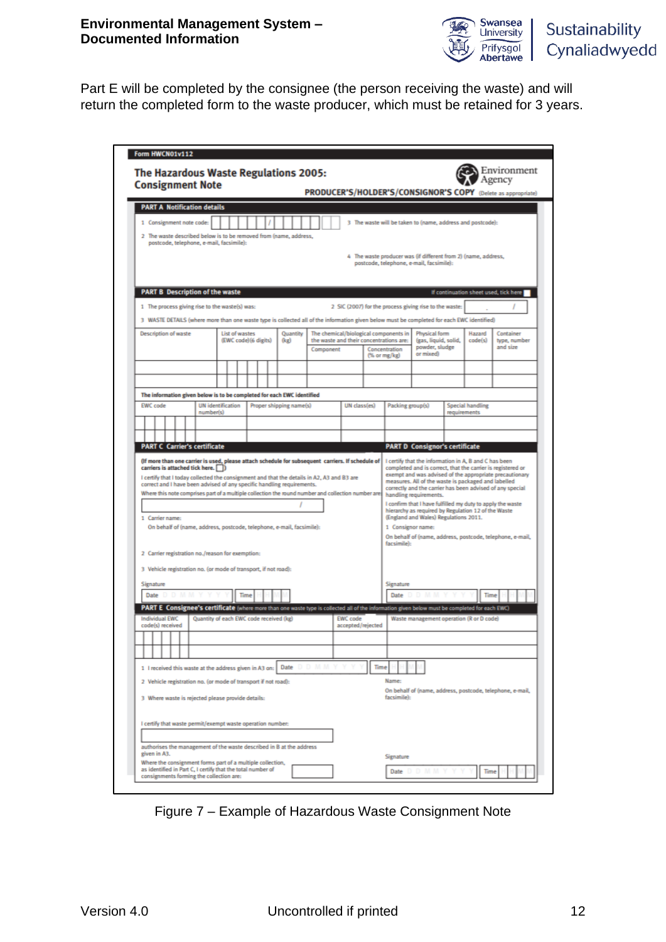

Part E will be completed by the consignee (the person receiving the waste) and will return the completed form to the waste producer, which must be retained for 3 years.

|                                                                                                                                                                                                                                    |                          |                       | The Hazardous Waste Regulations 2005:   |                                                      |                   |      |                                       |                                                                                                              |                         | Environment                                                                                                             |
|------------------------------------------------------------------------------------------------------------------------------------------------------------------------------------------------------------------------------------|--------------------------|-----------------------|-----------------------------------------|------------------------------------------------------|-------------------|------|---------------------------------------|--------------------------------------------------------------------------------------------------------------|-------------------------|-------------------------------------------------------------------------------------------------------------------------|
| <b>Consignment Note</b>                                                                                                                                                                                                            |                          |                       |                                         |                                                      |                   |      |                                       |                                                                                                              |                         | <b>PRODUCER'S/HOLDER'S/CONSIGNOR'S COPY</b> (Delete as appropriate)                                                     |
| <b>PART A Notification details</b>                                                                                                                                                                                                 |                          |                       |                                         |                                                      |                   |      |                                       |                                                                                                              |                         |                                                                                                                         |
| 1 Consignment note code:                                                                                                                                                                                                           |                          |                       |                                         |                                                      |                   |      |                                       | 3 The waste will be taken to (name, address and postcode):                                                   |                         |                                                                                                                         |
| 2 The waste described below is to be removed from (name, address,<br>postcode, telephone, e-mail, facsimile):                                                                                                                      |                          |                       |                                         |                                                      |                   |      |                                       |                                                                                                              |                         |                                                                                                                         |
|                                                                                                                                                                                                                                    |                          |                       |                                         |                                                      |                   |      |                                       | 4 The waste producer was (if different from 2) (name, address,                                               |                         |                                                                                                                         |
|                                                                                                                                                                                                                                    |                          |                       |                                         |                                                      |                   |      |                                       | postcode, telephone, e-mail, facsimile):                                                                     |                         |                                                                                                                         |
|                                                                                                                                                                                                                                    |                          |                       |                                         |                                                      |                   |      |                                       |                                                                                                              |                         |                                                                                                                         |
| <b>PART B</b> Description of the waste                                                                                                                                                                                             |                          |                       |                                         |                                                      |                   |      |                                       |                                                                                                              |                         | If continuation sheet used, tick here                                                                                   |
| 1 The process giving rise to the waste(s) was:<br>3 WASTE DETAILS (where more than one waste type is collected all of the information given below must be completed for each EWC identified)                                       |                          |                       |                                         |                                                      |                   |      |                                       | 2 SIC (2007) for the process giving rise to the waste:                                                       |                         |                                                                                                                         |
| <b>Description of waste</b>                                                                                                                                                                                                        |                          | List of wastes        | Quantity                                |                                                      |                   |      | The chemical/biological components in | Physical form                                                                                                | Hazard                  | Container                                                                                                               |
|                                                                                                                                                                                                                                    |                          | (EWC code) (6 digits) | (kg)                                    | the waste and their concentrations are:<br>Component |                   |      | Concentration                         | (gas, liquid, solid,<br>powder, sludge                                                                       | code(s)                 | type, number<br>and size                                                                                                |
|                                                                                                                                                                                                                                    |                          |                       |                                         |                                                      |                   |      | (% or mg/kg)                          | or mixed)                                                                                                    |                         |                                                                                                                         |
|                                                                                                                                                                                                                                    |                          |                       |                                         |                                                      |                   |      |                                       |                                                                                                              |                         |                                                                                                                         |
| The information given below is to be completed for each EWC identified                                                                                                                                                             |                          |                       |                                         |                                                      |                   |      |                                       |                                                                                                              |                         |                                                                                                                         |
| <b>EWC</b> code                                                                                                                                                                                                                    | <b>UN</b> identification |                       | Proper shipping name(s)                 |                                                      | UN class(es)      |      | Packing group(s)                      |                                                                                                              | <b>Special handling</b> |                                                                                                                         |
| number(s)                                                                                                                                                                                                                          |                          |                       |                                         |                                                      |                   |      |                                       |                                                                                                              | requirements            |                                                                                                                         |
|                                                                                                                                                                                                                                    |                          |                       |                                         |                                                      |                   |      |                                       |                                                                                                              |                         |                                                                                                                         |
| <b>PART C Carrier's certificate</b>                                                                                                                                                                                                |                          |                       |                                         |                                                      |                   |      |                                       | <b>PART D Consignor's certificate</b>                                                                        |                         |                                                                                                                         |
| (If more than one carrier is used, please attach schedule for subsequent carriers. If schedule of<br>carriers is attached tick here.<br>I certify that I today collected the consignment and that the details in A2, A3 and B3 are |                          |                       |                                         |                                                      |                   |      |                                       | I certify that the information in A, B and C has been<br>measures. All of the waste is packaged and labelled |                         | completed and is correct, that the carrier is registered or<br>exempt and was advised of the appropriate precautionary  |
| correct and I have been advised of any specific handling requirements.<br>Where this note comprises part of a multiple collection the round number and collection number are                                                       |                          |                       |                                         |                                                      |                   |      |                                       | handling requirements.<br>hierarchy as required by Regulation 12 of the Waste                                |                         | correctly and the carrier has been advised of any special<br>I confirm that I have fulfilled my duty to apply the waste |
| 1 Carrier name:<br>On behalf of (name, address, postcode, telephone, e-mail, facsimile):                                                                                                                                           |                          |                       |                                         |                                                      |                   |      | 1 Consignor name:                     | (England and Wales) Regulations 2011.                                                                        |                         |                                                                                                                         |
|                                                                                                                                                                                                                                    |                          |                       |                                         |                                                      |                   |      | facsimile):                           |                                                                                                              |                         | On behalf of (name, address, postcode, telephone, e-mail,                                                               |
| 2 Carrier registration no./reason for exemption:                                                                                                                                                                                   |                          |                       |                                         |                                                      |                   |      |                                       |                                                                                                              |                         |                                                                                                                         |
| 3 Vehicle registration no. (or mode of transport, if not road):                                                                                                                                                                    |                          |                       |                                         |                                                      |                   |      |                                       |                                                                                                              |                         |                                                                                                                         |
| Signature                                                                                                                                                                                                                          |                          |                       |                                         |                                                      |                   |      | Signature                             |                                                                                                              |                         |                                                                                                                         |
| Date                                                                                                                                                                                                                               |                          | Time                  |                                         |                                                      |                   |      | Date                                  |                                                                                                              | Time                    |                                                                                                                         |
| PART E Consignee's certificate (where more than one waste type is collected all of the information given below must be completed for each EWC)<br>Individual EWC                                                                   |                          |                       | Quantity of each EWC code received (kg) |                                                      | <b>EWC</b> code   |      |                                       | Waste management operation (R or D code)                                                                     |                         |                                                                                                                         |
| code(s) received                                                                                                                                                                                                                   |                          |                       |                                         |                                                      | accepted/rejected |      |                                       |                                                                                                              |                         |                                                                                                                         |
|                                                                                                                                                                                                                                    |                          |                       |                                         |                                                      |                   |      |                                       |                                                                                                              |                         |                                                                                                                         |
|                                                                                                                                                                                                                                    |                          |                       |                                         |                                                      |                   |      |                                       |                                                                                                              |                         |                                                                                                                         |
| 1 I received this waste at the address given in A3 on:                                                                                                                                                                             |                          |                       | Date                                    |                                                      |                   | Time | Name:                                 |                                                                                                              |                         |                                                                                                                         |
| 2 Vehicle registration no. (or mode of transport if not road):                                                                                                                                                                     |                          |                       |                                         |                                                      |                   |      |                                       |                                                                                                              |                         | On behalf of (name, address, postcode, telephone, e-mail,                                                               |
| 3 Where waste is rejected please provide details:                                                                                                                                                                                  |                          |                       |                                         |                                                      |                   |      | facsimile):                           |                                                                                                              |                         |                                                                                                                         |
| I certify that waste permit/exempt waste operation number:                                                                                                                                                                         |                          |                       |                                         |                                                      |                   |      |                                       |                                                                                                              |                         |                                                                                                                         |
|                                                                                                                                                                                                                                    |                          |                       |                                         |                                                      |                   |      |                                       |                                                                                                              |                         |                                                                                                                         |
| authorises the management of the waste described in B at the address<br>given in A3.                                                                                                                                               |                          |                       |                                         |                                                      |                   |      | Signature                             |                                                                                                              |                         |                                                                                                                         |

Figure 7 – Example of Hazardous Waste Consignment Note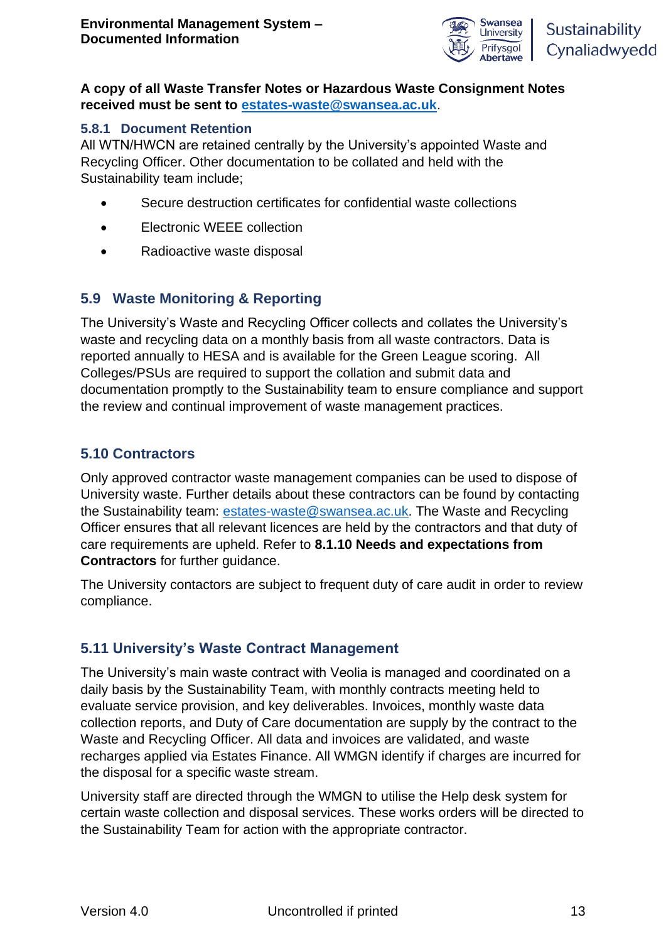

#### **A copy of all Waste Transfer Notes or Hazardous Waste Consignment Notes received must be sent to [estates-waste@swansea.ac.uk](mailto:estates-waste@swansea.ac.uk)**.

#### **5.8.1 Document Retention**

All WTN/HWCN are retained centrally by the University's appointed Waste and Recycling Officer. Other documentation to be collated and held with the Sustainability team include;

- Secure destruction certificates for confidential waste collections
- Electronic WEEE collection
- Radioactive waste disposal

### **5.9 Waste Monitoring & Reporting**

The University's Waste and Recycling Officer collects and collates the University's waste and recycling data on a monthly basis from all waste contractors. Data is reported annually to HESA and is available for the Green League scoring. All Colleges/PSUs are required to support the collation and submit data and documentation promptly to the Sustainability team to ensure compliance and support the review and continual improvement of waste management practices.

#### **5.10 Contractors**

Only approved contractor waste management companies can be used to dispose of University waste. Further details about these contractors can be found by contacting the Sustainability team: [estates-waste@swansea.ac.uk.](mailto:estates-waste@swansea.ac.uk) The Waste and Recycling Officer ensures that all relevant licences are held by the contractors and that duty of care requirements are upheld. Refer to **8.1.10 Needs and expectations from Contractors** for further guidance.

The University contactors are subject to frequent duty of care audit in order to review compliance.

#### **5.11 University's Waste Contract Management**

The University's main waste contract with Veolia is managed and coordinated on a daily basis by the Sustainability Team, with monthly contracts meeting held to evaluate service provision, and key deliverables. Invoices, monthly waste data collection reports, and Duty of Care documentation are supply by the contract to the Waste and Recycling Officer. All data and invoices are validated, and waste recharges applied via Estates Finance. All WMGN identify if charges are incurred for the disposal for a specific waste stream.

University staff are directed through the WMGN to utilise the Help desk system for certain waste collection and disposal services. These works orders will be directed to the Sustainability Team for action with the appropriate contractor.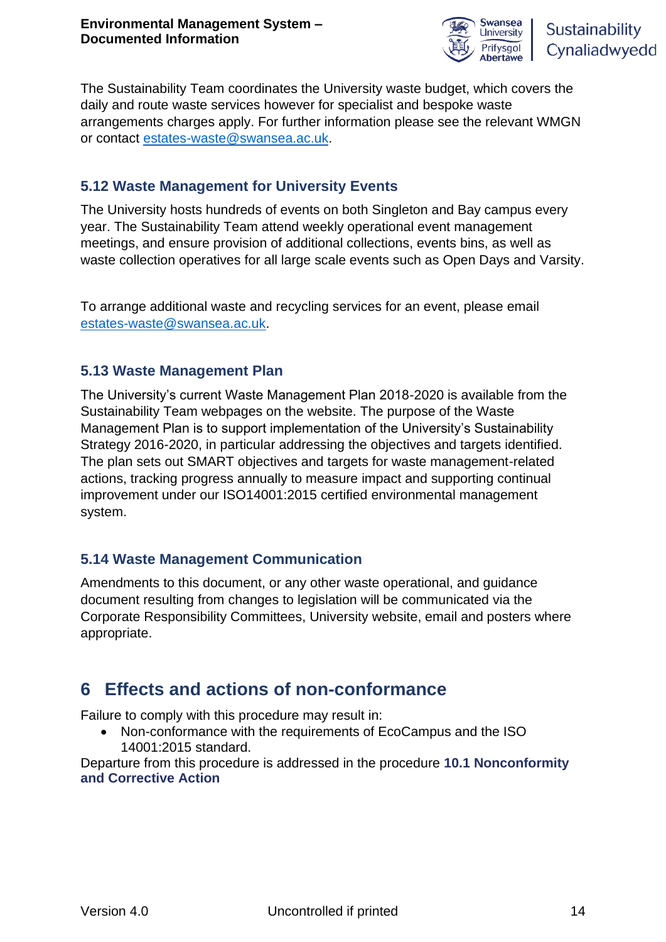

Sustainability Cynaliadwyedd

The Sustainability Team coordinates the University waste budget, which covers the daily and route waste services however for specialist and bespoke waste arrangements charges apply. For further information please see the relevant WMGN or contact [estates-waste@swansea.ac.uk.](mailto:estates-waste@swansea.ac.uk)

### **5.12 Waste Management for University Events**

The University hosts hundreds of events on both Singleton and Bay campus every year. The Sustainability Team attend weekly operational event management meetings, and ensure provision of additional collections, events bins, as well as waste collection operatives for all large scale events such as Open Days and Varsity.

To arrange additional waste and recycling services for an event, please email [estates-waste@swansea.ac.uk.](mailto:estates-waste@swansea.ac.uk)

### **5.13 Waste Management Plan**

The University's current Waste Management Plan 2018-2020 is available from the Sustainability Team webpages on the website. The purpose of the Waste Management Plan is to support implementation of the University's Sustainability Strategy 2016-2020, in particular addressing the objectives and targets identified. The plan sets out SMART objectives and targets for waste management-related actions, tracking progress annually to measure impact and supporting continual improvement under our ISO14001:2015 certified environmental management system.

## **5.14 Waste Management Communication**

Amendments to this document, or any other waste operational, and guidance document resulting from changes to legislation will be communicated via the Corporate Responsibility Committees, University website, email and posters where appropriate.

## **6 Effects and actions of non-conformance**

Failure to comply with this procedure may result in:

• Non-conformance with the requirements of EcoCampus and the ISO 14001:2015 standard.

Departure from this procedure is addressed in the procedure **10.1 Nonconformity and Corrective Action**